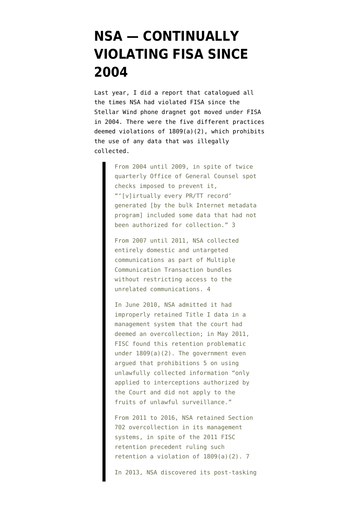## **[NSA — CONTINUALLY](https://www.emptywheel.net/2018/06/28/nsa-continually-violating-fisa-since-2004/) [VIOLATING FISA SINCE](https://www.emptywheel.net/2018/06/28/nsa-continually-violating-fisa-since-2004/) [2004](https://www.emptywheel.net/2018/06/28/nsa-continually-violating-fisa-since-2004/)**

Last year, I did a [report](https://s3.amazonaws.com/demandprogress/reports/Institutional_Lack_of_Candor.pdf) that catalogued all the times NSA had violated FISA since the Stellar Wind phone dragnet got moved under FISA in 2004. There were the five different practices deemed violations of 1809(a)(2), which prohibits the use of any data that was illegally collected.

> From 2004 until 2009, in spite of twice quarterly Office of General Counsel spot checks imposed to prevent it, "'[v]irtually every PR/TT record' generated [by the bulk Internet metadata program] included some data that had not been authorized for collection." 3

From 2007 until 2011, NSA collected entirely domestic and untargeted communications as part of Multiple Communication Transaction bundles without restricting access to the unrelated communications. 4

In June 2010, NSA admitted it had improperly retained Title I data in a management system that the court had deemed an overcollection; in May 2011, FISC found this retention problematic under 1809(a)(2). The government even argued that prohibitions 5 on using unlawfully collected information "only applied to interceptions authorized by the Court and did not apply to the fruits of unlawful surveillance."

From 2011 to 2016, NSA retained Section 702 overcollection in its management systems, in spite of the 2011 FISC retention precedent ruling such retention a violation of 1809(a)(2). 7

In 2013, NSA discovered its post-tasking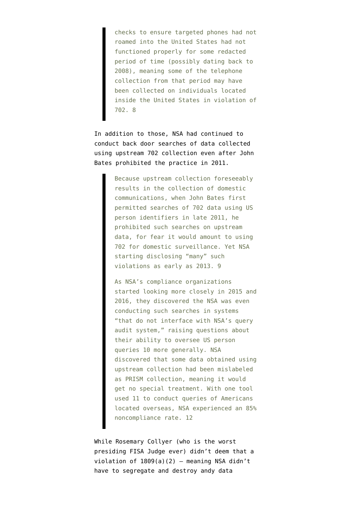checks to ensure targeted phones had not roamed into the United States had not functioned properly for some redacted period of time (possibly dating back to 2008), meaning some of the telephone collection from that period may have been collected on individuals located inside the United States in violation of 702. 8

In addition to those, NSA had continued to conduct back door searches of data collected using upstream 702 collection even after John Bates prohibited the practice in 2011.

> Because upstream collection foreseeably results in the collection of domestic communications, when John Bates first permitted searches of 702 data using US person identifiers in late 2011, he prohibited such searches on upstream data, for fear it would amount to using 702 for domestic surveillance. Yet NSA starting disclosing "many" such violations as early as 2013. 9

As NSA's compliance organizations started looking more closely in 2015 and 2016, they discovered the NSA was even conducting such searches in systems "that do not interface with NSA's query audit system," raising questions about their ability to oversee US person queries 10 more generally. NSA discovered that some data obtained using upstream collection had been mislabeled as PRISM collection, meaning it would get no special treatment. With one tool used 11 to conduct queries of Americans located overseas, NSA experienced an 85% noncompliance rate. 12

While Rosemary Collyer (who is the worst presiding FISA Judge ever) didn't deem that a violation of  $1809(a)(2)$  - meaning NSA didn't have to segregate and destroy andy data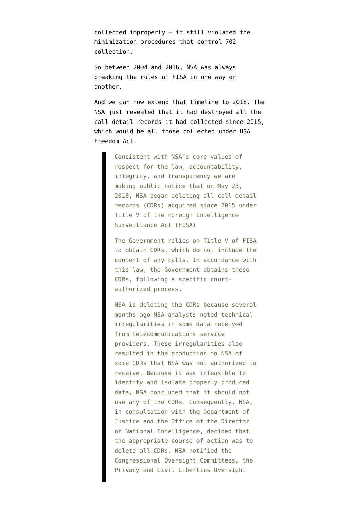collected improperly — it still violated the minimization procedures that control 702 collection.

So between 2004 and 2016, NSA was always breaking the rules of FISA in one way or another.

And we can now extend that timeline to 2018. The NSA just [revealed](https://www.nsa.gov/news-features/press-room/Article/1618691/nsa-reports-data-deletion/) that it had destroyed all the call detail records it had collected since 2015, which would be all those collected under USA Freedom Act.

> Consistent with NSA's core values of respect for the law, accountability, integrity, and transparency we are making public notice that on May 23, 2018, NSA began deleting all call detail records (CDRs) acquired since 2015 under Title V of the Foreign Intelligence Surveillance Act (FISA)

> The Government relies on Title V of FISA to obtain CDRs, which do not include the content of any calls. In accordance with this law, the Government obtains these CDRs, following a specific courtauthorized process.

> NSA is deleting the CDRs because several months ago NSA analysts noted technical irregularities in some data received from telecommunications service providers. These irregularities also resulted in the production to NSA of some CDRs that NSA was not authorized to receive. Because it was infeasible to identify and isolate properly produced data, NSA concluded that it should not use any of the CDRs. Consequently, NSA, in consultation with the Department of Justice and the Office of the Director of National Intelligence, decided that the appropriate course of action was to delete all CDRs. NSA notified the Congressional Oversight Committees, the Privacy and Civil Liberties Oversight